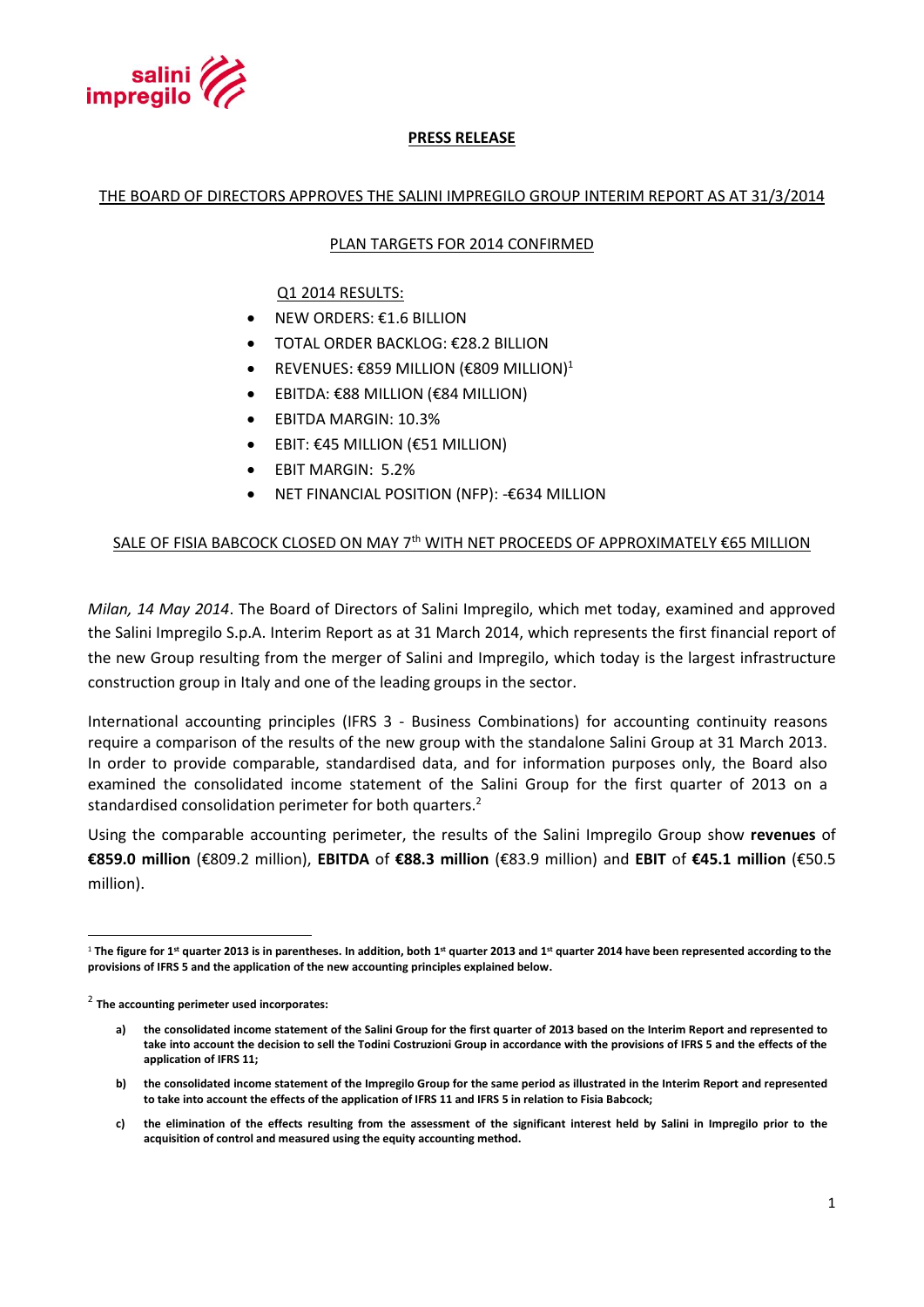

# **PRESS RELEASE**

## THE BOARD OF DIRECTORS APPROVES THE SALINI IMPREGILO GROUP INTERIM REPORT AS AT 31/3/2014

# PLAN TARGETS FOR 2014 CONFIRMED

Q1 2014 RESULTS:

- NEW ORDERS: €1.6 BILLION
- TOTAL ORDER BACKLOG: €28.2 BILLION
- **•** REVENUES: €859 MILLION (€809 MILLION)<sup>1</sup>
- EBITDA: €88 MILLION (€84 MILLION)
- EBITDA MARGIN: 10.3%
- EBIT: €45 MILLION (€51 MILLION)
- EBIT MARGIN: 5.2%
- NET FINANCIAL POSITION (NFP): -€634 MILLION

# SALE OF FISIA BABCOCK CLOSED ON MAY 7<sup>th</sup> WITH NET PROCEEDS OF APPROXIMATELY  $\epsilon$ 65 MILLION

*Milan, 14 May 2014*. The Board of Directors of Salini Impregilo, which met today, examined and approved the Salini Impregilo S.p.A. Interim Report as at 31 March 2014, which represents the first financial report of the new Group resulting from the merger of Salini and Impregilo, which today is the largest infrastructure construction group in Italy and one of the leading groups in the sector.

International accounting principles (IFRS 3 - Business Combinations) for accounting continuity reasons require a comparison of the results of the new group with the standalone Salini Group at 31 March 2013. In order to provide comparable, standardised data, and for information purposes only, the Board also examined the consolidated income statement of the Salini Group for the first quarter of 2013 on a standardised consolidation perimeter for both quarters.<sup>2</sup>

Using the comparable accounting perimeter, the results of the Salini Impregilo Group show **revenues** of **€859.0 million** (€809.2 million), **EBITDA** of **€88.3 million** (€83.9 million) and **EBIT** of **€45.1 million** (€50.5 million).

 $\overline{a}$ 

**c) the elimination of the effects resulting from the assessment of the significant interest held by Salini in Impregilo prior to the acquisition of control and measured using the equity accounting method.**

<sup>1</sup> **The figure for 1st quarter 2013 is in parentheses. In addition, both 1st quarter 2013 and 1 st quarter 2014 have been represented according to the provisions of IFRS 5 and the application of the new accounting principles explained below.**

<sup>2</sup> **The accounting perimeter used incorporates:**

**a) the consolidated income statement of the Salini Group for the first quarter of 2013 based on the Interim Report and represented to take into account the decision to sell the Todini Costruzioni Group in accordance with the provisions of IFRS 5 and the effects of the application of IFRS 11;** 

**b) the consolidated income statement of the Impregilo Group for the same period as illustrated in the Interim Report and represented to take into account the effects of the application of IFRS 11 and IFRS 5 in relation to Fisia Babcock;**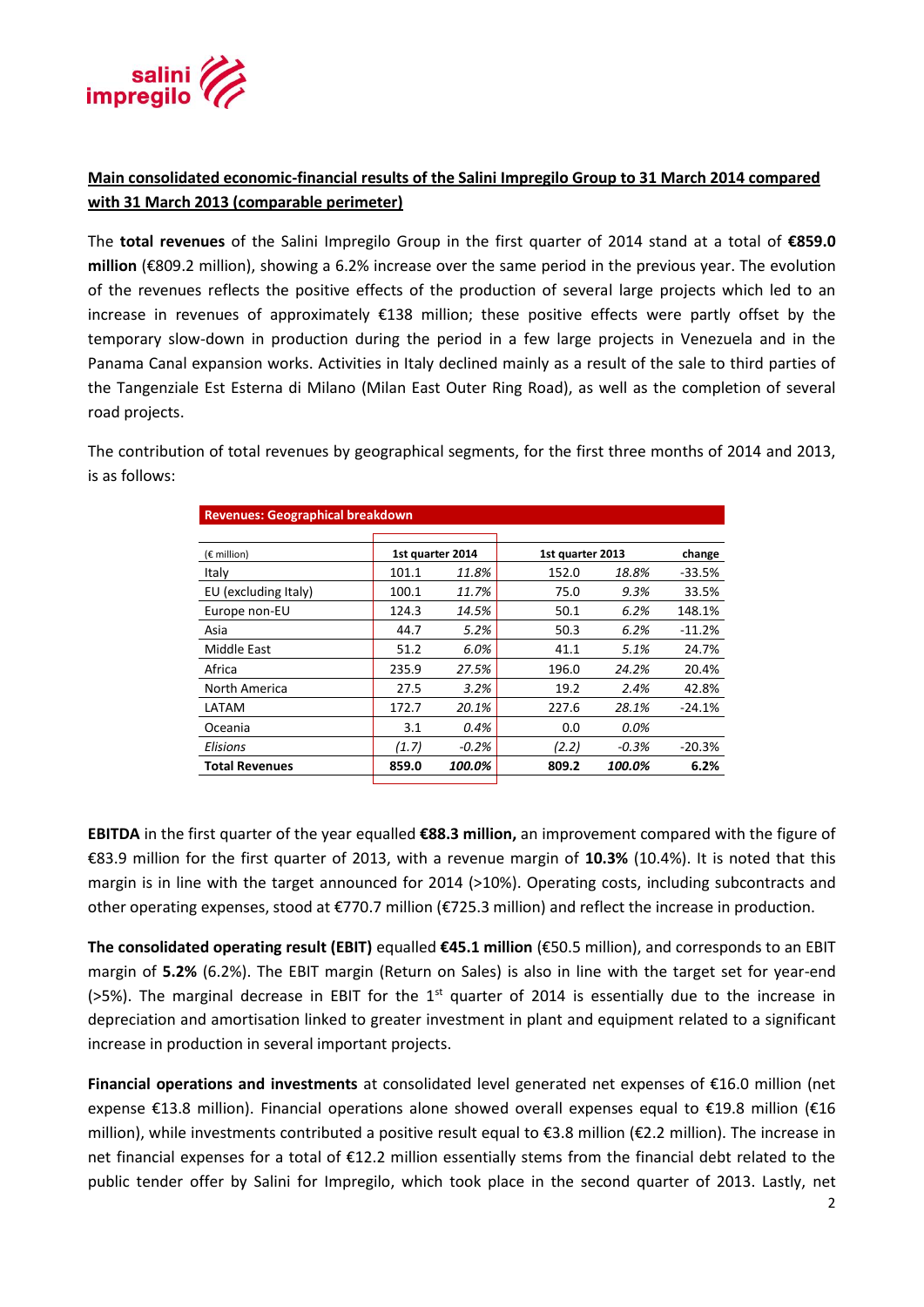

# **Main consolidated economic-financial results of the Salini Impregilo Group to 31 March 2014 compared with 31 March 2013 (comparable perimeter)**

The **total revenues** of the Salini Impregilo Group in the first quarter of 2014 stand at a total of **€859.0 million** (€809.2 million), showing a 6.2% increase over the same period in the previous year. The evolution of the revenues reflects the positive effects of the production of several large projects which led to an increase in revenues of approximately €138 million; these positive effects were partly offset by the temporary slow-down in production during the period in a few large projects in Venezuela and in the Panama Canal expansion works. Activities in Italy declined mainly as a result of the sale to third parties of the Tangenziale Est Esterna di Milano (Milan East Outer Ring Road), as well as the completion of several road projects.

The contribution of total revenues by geographical segments, for the first three months of 2014 and 2013, is as follows:

| <b>Revenues: Geographical breakdown</b> |                  |          |                  |         |          |
|-----------------------------------------|------------------|----------|------------------|---------|----------|
|                                         |                  |          |                  |         |          |
| $(\epsilon$ million)                    | 1st quarter 2014 |          | 1st quarter 2013 |         | change   |
| Italy                                   | 101.1            | 11.8%    | 152.0            | 18.8%   | -33.5%   |
| EU (excluding Italy)                    | 100.1            | 11.7%    | 75.0             | 9.3%    | 33.5%    |
| Europe non-EU                           | 124.3            | 14.5%    | 50.1             | 6.2%    | 148.1%   |
| Asia                                    | 44.7             | 5.2%     | 50.3             | 6.2%    | $-11.2%$ |
| Middle East                             | 51.2             | 6.0%     | 41.1             | 5.1%    | 24.7%    |
| Africa                                  | 235.9            | 27.5%    | 196.0            | 24.2%   | 20.4%    |
| North America                           | 27.5             | 3.2%     | 19.2             | 2.4%    | 42.8%    |
| LATAM                                   | 172.7            | 20.1%    | 227.6            | 28.1%   | $-24.1%$ |
| Oceania                                 | 3.1              | 0.4%     | 0.0              | 0.0%    |          |
| <b>Elisions</b>                         | (1.7)            | $-0.2\%$ | (2.2)            | $-0.3%$ | $-20.3%$ |
| <b>Total Revenues</b>                   | 859.0            | 100.0%   | 809.2            | 100.0%  | 6.2%     |

**EBITDA** in the first quarter of the year equalled **€88.3 million,** an improvement compared with the figure of €83.9 million for the first quarter of 2013, with a revenue margin of **10.3%** (10.4%). It is noted that this margin is in line with the target announced for 2014 (>10%). Operating costs, including subcontracts and other operating expenses, stood at €770.7 million (€725.3 million) and reflect the increase in production.

**The consolidated operating result (EBIT)** equalled **€45.1 million** (€50.5 million), and corresponds to an EBIT margin of **5.2%** (6.2%). The EBIT margin (Return on Sales) is also in line with the target set for year-end ( $>5\%$ ). The marginal decrease in EBIT for the 1<sup>st</sup> quarter of 2014 is essentially due to the increase in depreciation and amortisation linked to greater investment in plant and equipment related to a significant increase in production in several important projects.

**Financial operations and investments** at consolidated level generated net expenses of €16.0 million (net expense €13.8 million). Financial operations alone showed overall expenses equal to €19.8 million (€16 million), while investments contributed a positive result equal to €3.8 million (€2.2 million). The increase in net financial expenses for a total of €12.2 million essentially stems from the financial debt related to the public tender offer by Salini for Impregilo, which took place in the second quarter of 2013. Lastly, net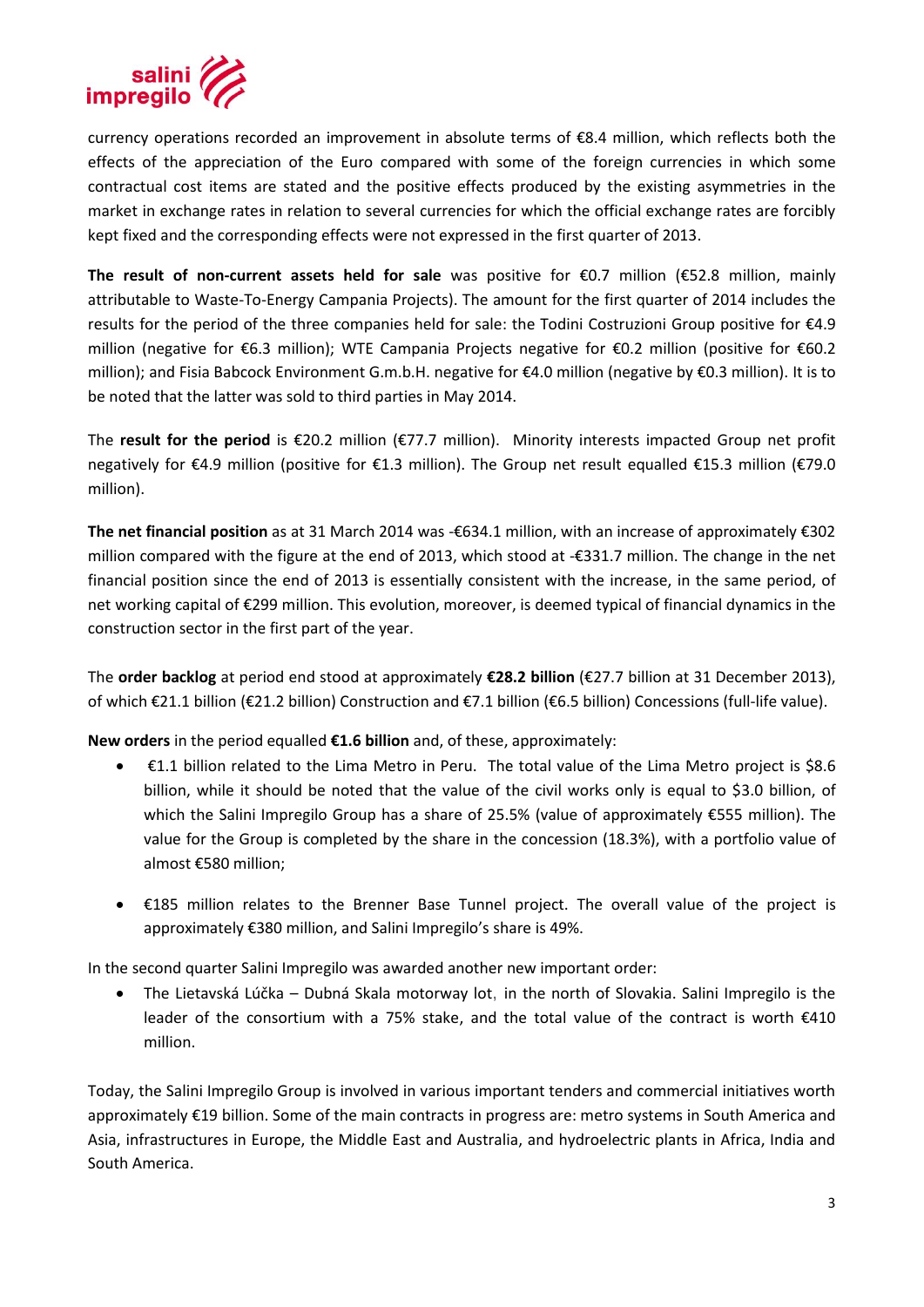

currency operations recorded an improvement in absolute terms of €8.4 million, which reflects both the effects of the appreciation of the Euro compared with some of the foreign currencies in which some contractual cost items are stated and the positive effects produced by the existing asymmetries in the market in exchange rates in relation to several currencies for which the official exchange rates are forcibly kept fixed and the corresponding effects were not expressed in the first quarter of 2013.

**The result of non-current assets held for sale** was positive for €0.7 million (€52.8 million, mainly attributable to Waste-To-Energy Campania Projects). The amount for the first quarter of 2014 includes the results for the period of the three companies held for sale: the Todini Costruzioni Group positive for €4.9 million (negative for €6.3 million); WTE Campania Projects negative for €0.2 million (positive for €60.2 million); and Fisia Babcock Environment G.m.b.H. negative for €4.0 million (negative by €0.3 million). It is to be noted that the latter was sold to third parties in May 2014.

The **result for the period** is €20.2 million (€77.7 million). Minority interests impacted Group net profit negatively for €4.9 million (positive for €1.3 million). The Group net result equalled €15.3 million (€79.0 million).

**The net financial position** as at 31 March 2014 was -€634.1 million, with an increase of approximately €302 million compared with the figure at the end of 2013, which stood at -€331.7 million. The change in the net financial position since the end of 2013 is essentially consistent with the increase, in the same period, of net working capital of €299 million. This evolution, moreover, is deemed typical of financial dynamics in the construction sector in the first part of the year.

The **order backlog** at period end stood at approximately **€28.2 billion** (€27.7 billion at 31 December 2013), of which €21.1 billion (€21.2 billion) Construction and €7.1 billion (€6.5 billion) Concessions (full-life value).

**New orders** in the period equalled **€1.6 billion** and, of these, approximately:

- €1.1 billion related to the Lima Metro in Peru. The total value of the Lima Metro project is \$8.6 billion, while it should be noted that the value of the civil works only is equal to \$3.0 billion, of which the Salini Impregilo Group has a share of 25.5% (value of approximately €555 million). The value for the Group is completed by the share in the concession (18.3%), with a portfolio value of almost €580 million;
- €185 million relates to the Brenner Base Tunnel project. The overall value of the project is approximately €380 million, and Salini Impregilo's share is 49%.

In the second quarter Salini Impregilo was awarded another new important order:

 The Lietavská Lúčka – Dubná Skala motorway lot, in the north of Slovakia. Salini Impregilo is the leader of the consortium with a 75% stake, and the total value of the contract is worth  $\epsilon$ 410 million.

Today, the Salini Impregilo Group is involved in various important tenders and commercial initiatives worth approximately €19 billion. Some of the main contracts in progress are: metro systems in South America and Asia, infrastructures in Europe, the Middle East and Australia, and hydroelectric plants in Africa, India and South America.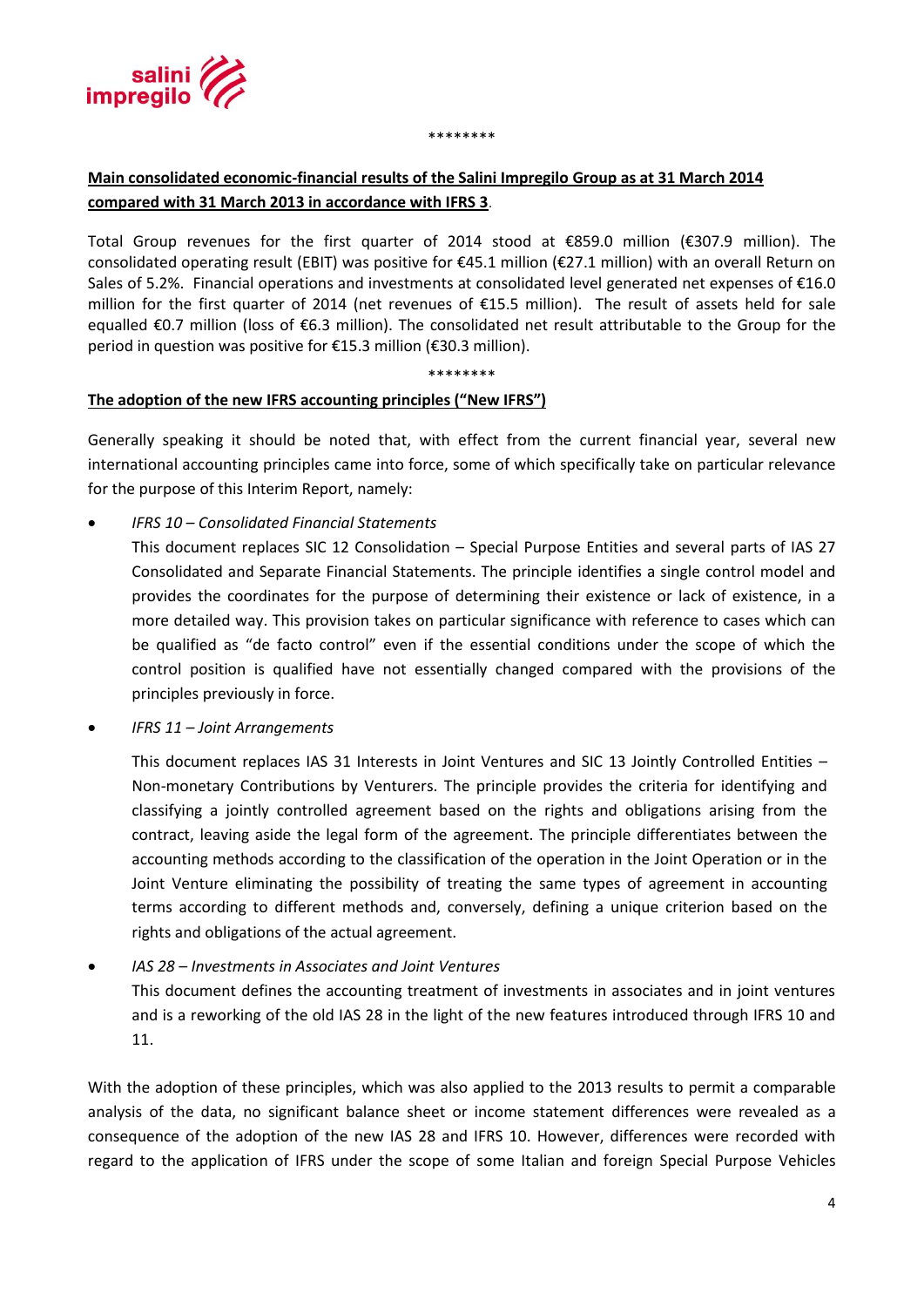

#### \*\*\*\*\*\*\*\*

# **Main consolidated economic-financial results of the Salini Impregilo Group as at 31 March 2014 compared with 31 March 2013 in accordance with IFRS 3**.

Total Group revenues for the first quarter of 2014 stood at €859.0 million (€307.9 million). The consolidated operating result (EBIT) was positive for €45.1 million (€27.1 million) with an overall Return on Sales of 5.2%. Financial operations and investments at consolidated level generated net expenses of €16.0 million for the first quarter of 2014 (net revenues of €15.5 million). The result of assets held for sale equalled €0.7 million (loss of €6.3 million). The consolidated net result attributable to the Group for the period in question was positive for €15.3 million (€30.3 million).

\*\*\*\*\*\*\*\*

# **The adoption of the new IFRS accounting principles ("New IFRS")**

Generally speaking it should be noted that, with effect from the current financial year, several new international accounting principles came into force, some of which specifically take on particular relevance for the purpose of this Interim Report, namely:

*IFRS 10 – Consolidated Financial Statements*

This document replaces SIC 12 Consolidation – Special Purpose Entities and several parts of IAS 27 Consolidated and Separate Financial Statements. The principle identifies a single control model and provides the coordinates for the purpose of determining their existence or lack of existence, in a more detailed way. This provision takes on particular significance with reference to cases which can be qualified as "de facto control" even if the essential conditions under the scope of which the control position is qualified have not essentially changed compared with the provisions of the principles previously in force.

*IFRS 11 – Joint Arrangements* 

This document replaces IAS 31 Interests in Joint Ventures and SIC 13 Jointly Controlled Entities – Non-monetary Contributions by Venturers. The principle provides the criteria for identifying and classifying a jointly controlled agreement based on the rights and obligations arising from the contract, leaving aside the legal form of the agreement. The principle differentiates between the accounting methods according to the classification of the operation in the Joint Operation or in the Joint Venture eliminating the possibility of treating the same types of agreement in accounting terms according to different methods and, conversely, defining a unique criterion based on the rights and obligations of the actual agreement.

 *IAS 28 – Investments in Associates and Joint Ventures* This document defines the accounting treatment of investments in associates and in joint ventures and is a reworking of the old IAS 28 in the light of the new features introduced through IFRS 10 and 11.

With the adoption of these principles, which was also applied to the 2013 results to permit a comparable analysis of the data, no significant balance sheet or income statement differences were revealed as a consequence of the adoption of the new IAS 28 and IFRS 10. However, differences were recorded with regard to the application of IFRS under the scope of some Italian and foreign Special Purpose Vehicles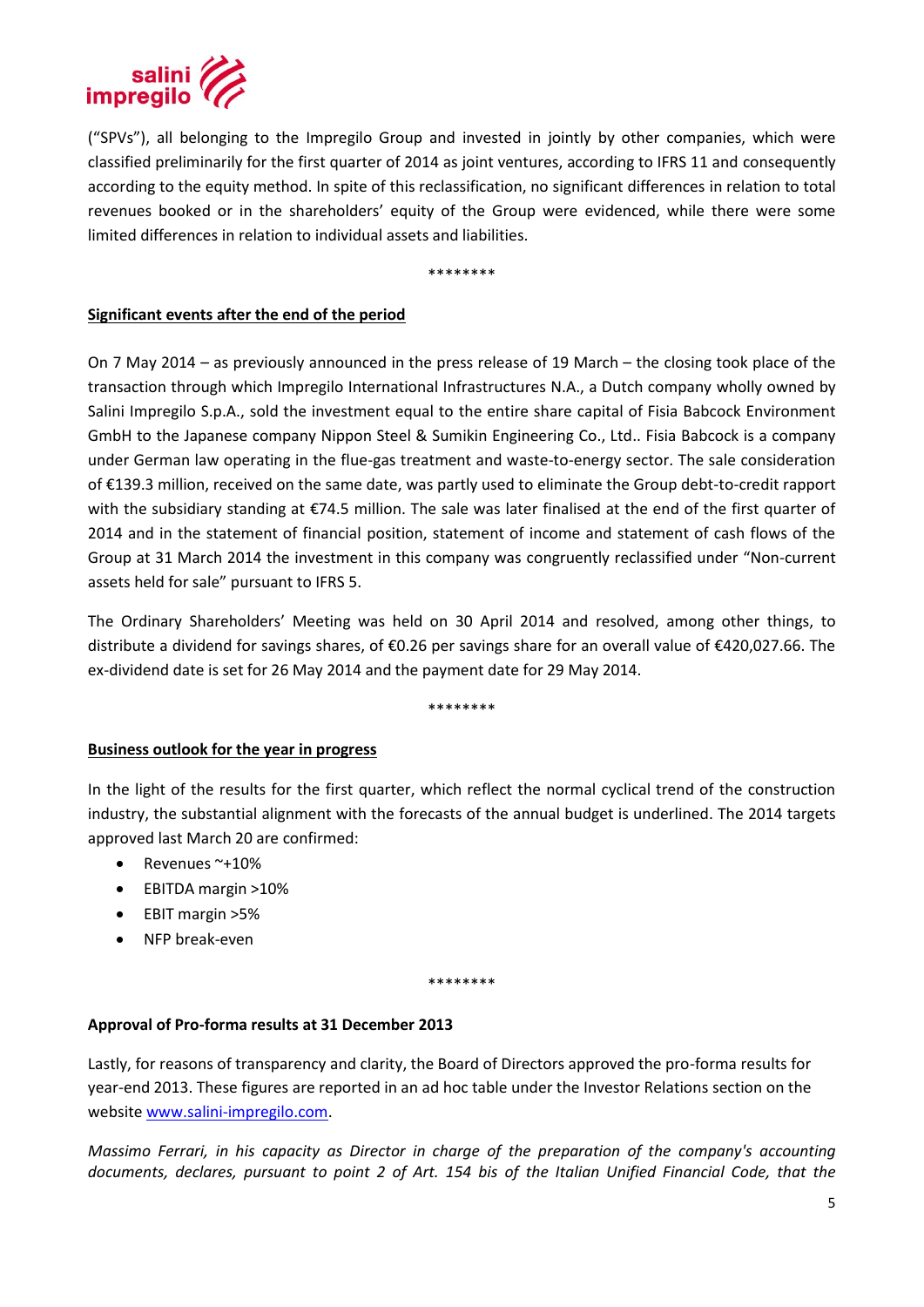

("SPVs"), all belonging to the Impregilo Group and invested in jointly by other companies, which were classified preliminarily for the first quarter of 2014 as joint ventures, according to IFRS 11 and consequently according to the equity method. In spite of this reclassification, no significant differences in relation to total revenues booked or in the shareholders' equity of the Group were evidenced, while there were some limited differences in relation to individual assets and liabilities.

\*\*\*\*\*\*\*\*

# **Significant events after the end of the period**

On 7 May 2014 – as previously announced in the press release of 19 March – the closing took place of the transaction through which Impregilo International Infrastructures N.A., a Dutch company wholly owned by Salini Impregilo S.p.A., sold the investment equal to the entire share capital of Fisia Babcock Environment GmbH to the Japanese company Nippon Steel & Sumikin Engineering Co., Ltd.. Fisia Babcock is a company under German law operating in the flue-gas treatment and waste-to-energy sector. The sale consideration of €139.3 million, received on the same date, was partly used to eliminate the Group debt-to-credit rapport with the subsidiary standing at €74.5 million. The sale was later finalised at the end of the first quarter of 2014 and in the statement of financial position, statement of income and statement of cash flows of the Group at 31 March 2014 the investment in this company was congruently reclassified under "Non-current assets held for sale" pursuant to IFRS 5.

The Ordinary Shareholders' Meeting was held on 30 April 2014 and resolved, among other things, to distribute a dividend for savings shares, of €0.26 per savings share for an overall value of €420,027.66. The ex-dividend date is set for 26 May 2014 and the payment date for 29 May 2014.

\*\*\*\*\*\*\*\*

## **Business outlook for the year in progress**

In the light of the results for the first quarter, which reflect the normal cyclical trend of the construction industry, the substantial alignment with the forecasts of the annual budget is underlined. The 2014 targets approved last March 20 are confirmed:

- $\bullet$  Revenues ~+10%
- EBITDA margin >10%
- EBIT margin >5%
- NFP break-even

\*\*\*\*\*\*\*\*

## **Approval of Pro-forma results at 31 December 2013**

Lastly, for reasons of transparency and clarity, the Board of Directors approved the pro-forma results for year-end 2013. These figures are reported in an ad hoc table under the Investor Relations section on the website [www.salini-impregilo.com.](www.salini-impregilo.com)

*Massimo Ferrari, in his capacity as Director in charge of the preparation of the company's accounting documents, declares, pursuant to point 2 of Art. 154 bis of the Italian Unified Financial Code, that the*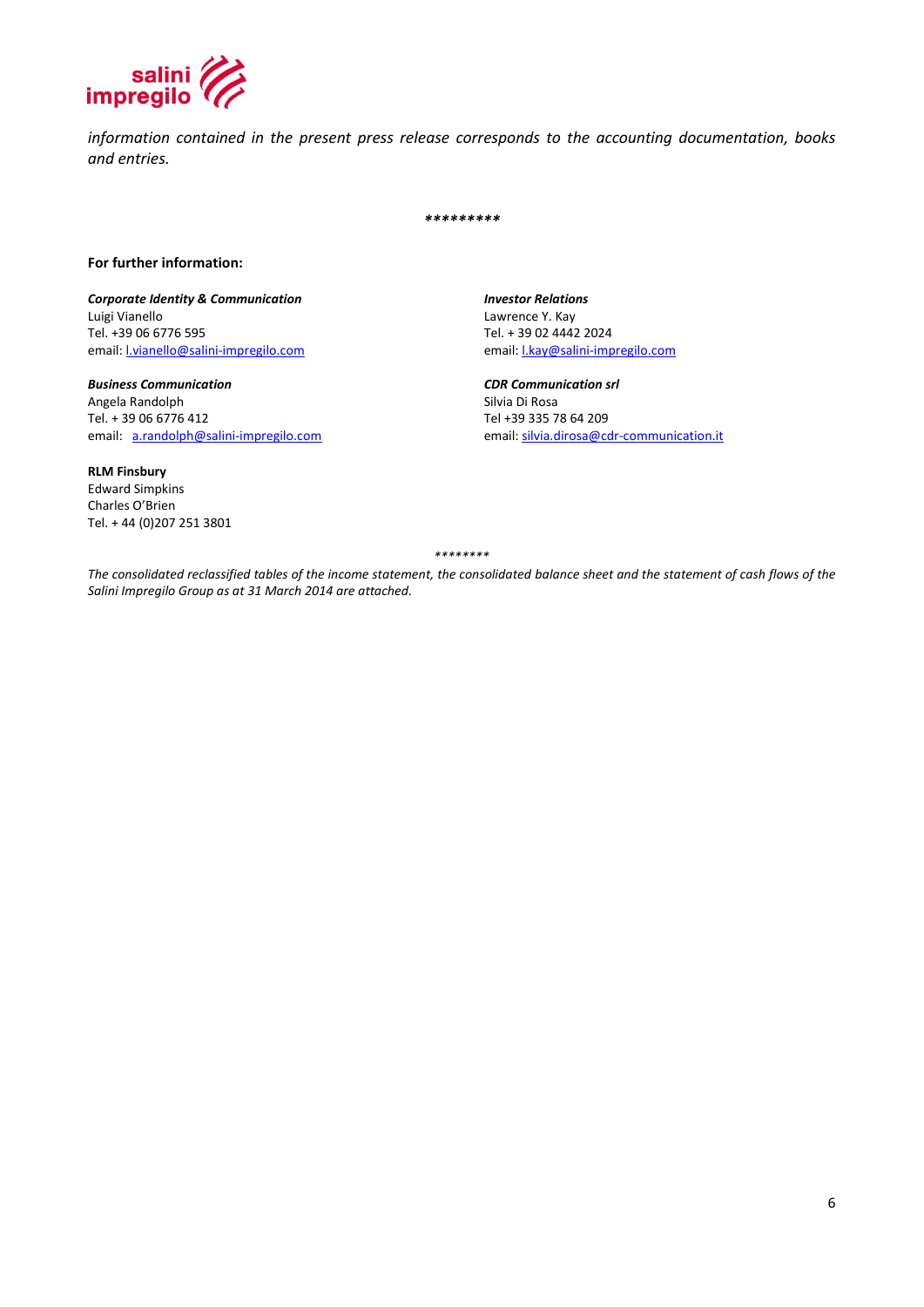

*information contained in the present press release corresponds to the accounting documentation, books and entries.*

*\*\*\*\*\*\*\*\*\**

#### **For further information:**

*Corporate Identity & Communication Investor Relations* Luigi Vianello Lawrence Y. Kay email: **Lvianello@salini-impregilo.com** 

*Business Communication CDR Communication srl* Angela Randolph<br>Tel. + 39 06 6776 412

**RLM Finsbury** Edward Simpkins Charles O'Brien Tel. + 44 (0)207 251 3801 Tel. + 39 02 4442 2024<br>email: **Lkay@salini-impregilo.com** 

Tel +39 335 78 64 209 email: [a.randolph@salini-impregilo.com](mailto:a.randolph@salini-impregilo.com) email: [silvia.dirosa@cdr-communication.it](mailto:silvia.dirosa@cdr-communication.it)

*\*\*\*\*\*\*\*\**

*The consolidated reclassified tables of the income statement, the consolidated balance sheet and the statement of cash flows of the Salini Impregilo Group as at 31 March 2014 are attached.*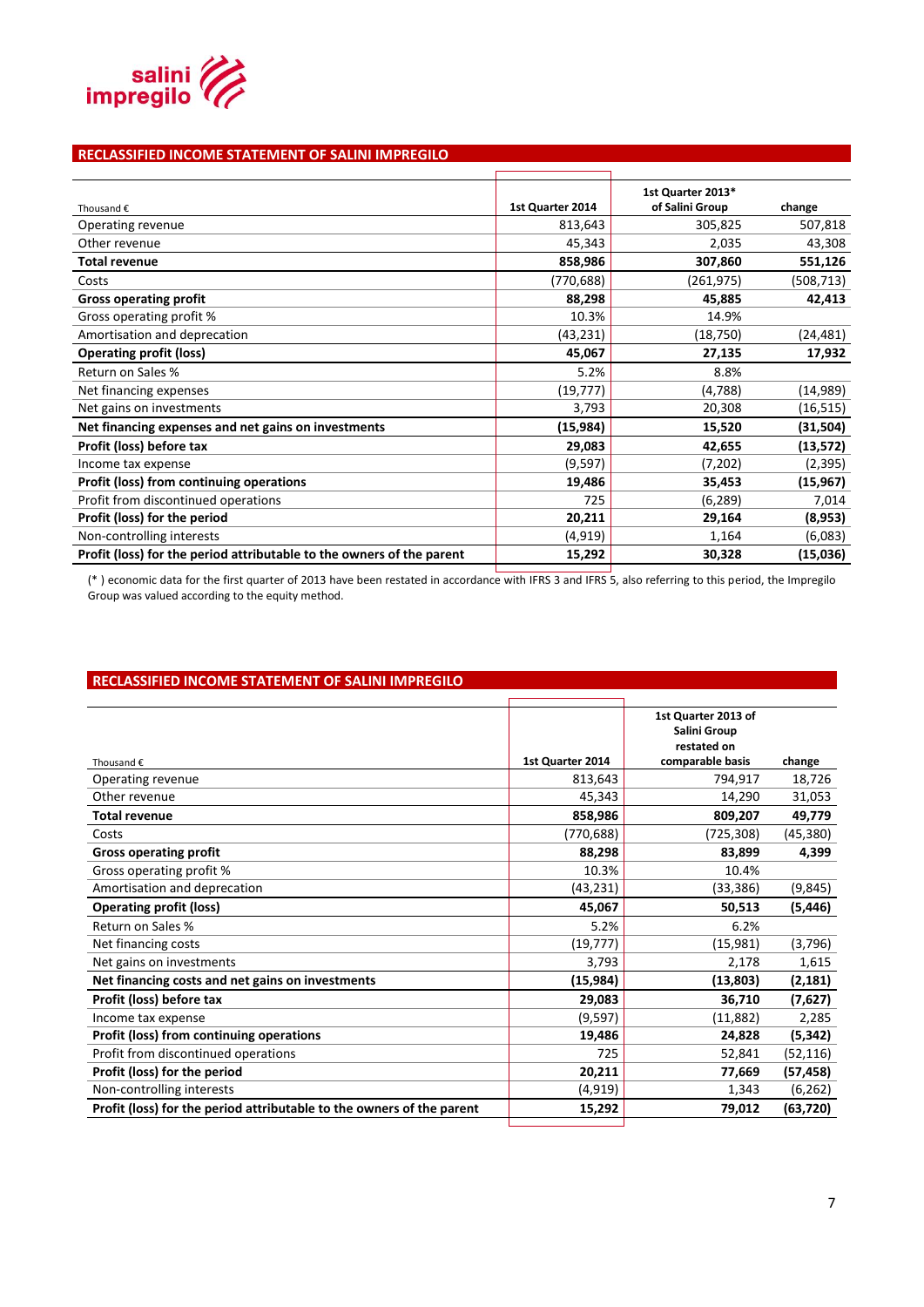

#### **RECLASSIFIED INCOME STATEMENT OF SALINI IMPREGILO**

| Thousand $\epsilon$                                                   | 1st Quarter 2014 | 1st Quarter 2013*<br>of Salini Group | change    |
|-----------------------------------------------------------------------|------------------|--------------------------------------|-----------|
| Operating revenue                                                     | 813,643          | 305,825                              | 507,818   |
| Other revenue                                                         | 45,343           | 2,035                                | 43,308    |
| <b>Total revenue</b>                                                  | 858,986          | 307,860                              | 551,126   |
| Costs                                                                 | (770, 688)       | (261, 975)                           | (508,713) |
| <b>Gross operating profit</b>                                         | 88,298           | 45,885                               | 42,413    |
| Gross operating profit %                                              | 10.3%            | 14.9%                                |           |
| Amortisation and deprecation                                          | (43, 231)        | (18, 750)                            | (24,481)  |
| <b>Operating profit (loss)</b>                                        | 45,067           | 27,135                               | 17,932    |
| Return on Sales %                                                     | 5.2%             | 8.8%                                 |           |
| Net financing expenses                                                | (19, 777)        | (4,788)                              | (14, 989) |
| Net gains on investments                                              | 3,793            | 20,308                               | (16, 515) |
| Net financing expenses and net gains on investments                   | (15, 984)        | 15,520                               | (31, 504) |
| Profit (loss) before tax                                              | 29,083           | 42,655                               | (13,572)  |
| Income tax expense                                                    | (9,597)          | (7,202)                              | (2, 395)  |
| Profit (loss) from continuing operations                              | 19,486           | 35,453                               | (15,967)  |
| Profit from discontinued operations                                   | 725              | (6, 289)                             | 7,014     |
| Profit (loss) for the period                                          | 20,211           | 29,164                               | (8,953)   |
| Non-controlling interests                                             | (4, 919)         | 1,164                                | (6,083)   |
| Profit (loss) for the period attributable to the owners of the parent | 15,292           | 30,328                               | (15,036)  |
|                                                                       |                  |                                      |           |

(\* ) economic data for the first quarter of 2013 have been restated in accordance with IFRS 3 and IFRS 5, also referring to this period, the Impregilo Group was valued according to the equity method.

#### **RECLASSIFIED INCOME STATEMENT OF SALINI IMPREGILO**

|                                                                       |                  | 1st Quarter 2013 of<br>Salini Group<br>restated on |           |
|-----------------------------------------------------------------------|------------------|----------------------------------------------------|-----------|
| Thousand $\epsilon$                                                   | 1st Quarter 2014 | comparable basis                                   | change    |
| Operating revenue                                                     | 813,643          | 794,917                                            | 18,726    |
| Other revenue                                                         | 45,343           | 14,290                                             | 31,053    |
| <b>Total revenue</b>                                                  | 858,986          | 809,207                                            | 49,779    |
| Costs                                                                 | (770, 688)       | (725,308)                                          | (45, 380) |
| <b>Gross operating profit</b>                                         | 88,298           | 83,899                                             | 4,399     |
| Gross operating profit %                                              | 10.3%            | 10.4%                                              |           |
| Amortisation and deprecation                                          | (43, 231)        | (33, 386)                                          | (9, 845)  |
| <b>Operating profit (loss)</b>                                        | 45,067           | 50,513                                             | (5, 446)  |
| Return on Sales %                                                     | 5.2%             | 6.2%                                               |           |
| Net financing costs                                                   | (19, 777)        | (15,981)                                           | (3,796)   |
| Net gains on investments                                              | 3,793            | 2,178                                              | 1,615     |
| Net financing costs and net gains on investments                      | (15, 984)        | (13,803)                                           | (2, 181)  |
| Profit (loss) before tax                                              | 29,083           | 36,710                                             | (7,627)   |
| Income tax expense                                                    | (9,597)          | (11,882)                                           | 2,285     |
| Profit (loss) from continuing operations                              | 19,486           | 24,828                                             | (5, 342)  |
| Profit from discontinued operations                                   | 725              | 52,841                                             | (52, 116) |
| Profit (loss) for the period                                          | 20,211           | 77,669                                             | (57, 458) |
| Non-controlling interests                                             | (4, 919)         | 1,343                                              | (6, 262)  |
| Profit (loss) for the period attributable to the owners of the parent | 15,292           | 79,012                                             | (63, 720) |
|                                                                       |                  |                                                    |           |